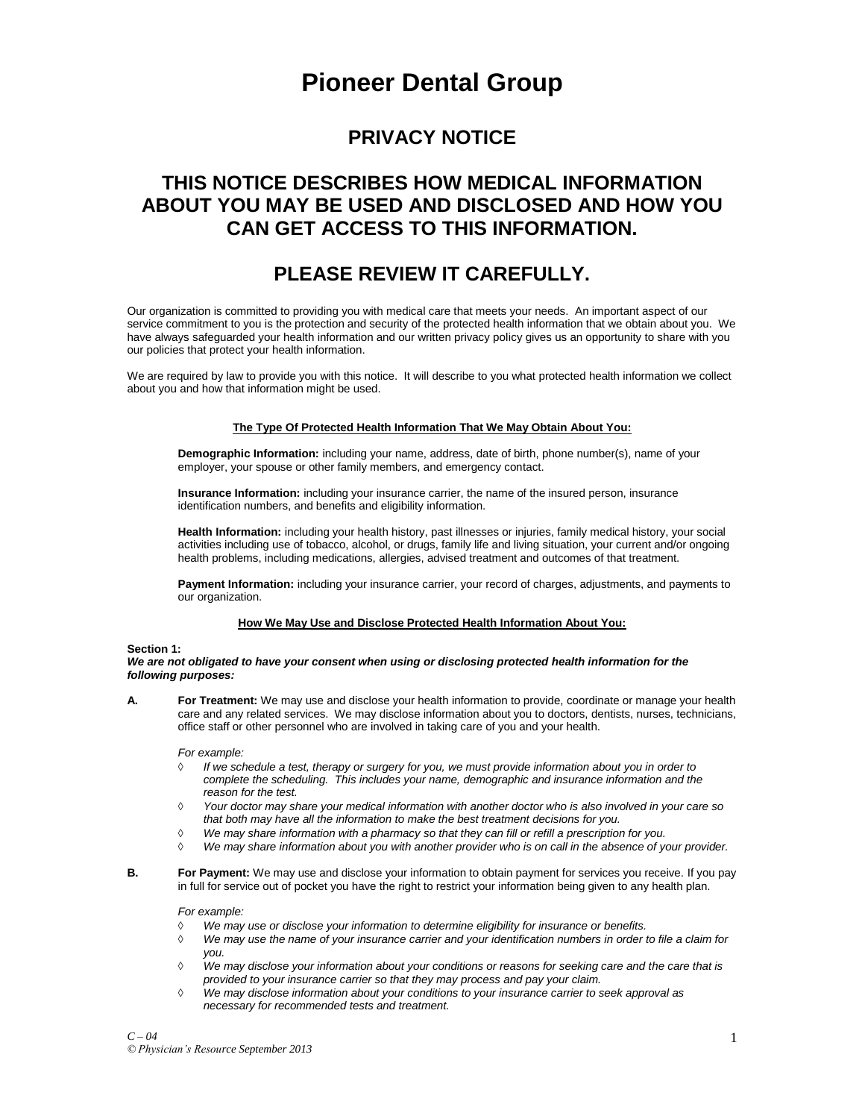# **Pioneer Dental Group**

# **PRIVACY NOTICE**

# **THIS NOTICE DESCRIBES HOW MEDICAL INFORMATION ABOUT YOU MAY BE USED AND DISCLOSED AND HOW YOU CAN GET ACCESS TO THIS INFORMATION.**

# **PLEASE REVIEW IT CAREFULLY.**

Our organization is committed to providing you with medical care that meets your needs. An important aspect of our service commitment to you is the protection and security of the protected health information that we obtain about you. We have always safeguarded your health information and our written privacy policy gives us an opportunity to share with you our policies that protect your health information.

We are required by law to provide you with this notice. It will describe to you what protected health information we collect about you and how that information might be used.

# **The Type Of Protected Health Information That We May Obtain About You:**

**Demographic Information:** including your name, address, date of birth, phone number(s), name of your employer, your spouse or other family members, and emergency contact.

**Insurance Information:** including your insurance carrier, the name of the insured person, insurance identification numbers, and benefits and eligibility information.

**Health Information:** including your health history, past illnesses or injuries, family medical history, your social activities including use of tobacco, alcohol, or drugs, family life and living situation, your current and/or ongoing health problems, including medications, allergies, advised treatment and outcomes of that treatment.

**Payment Information:** including your insurance carrier, your record of charges, adjustments, and payments to our organization.

# **How We May Use and Disclose Protected Health Information About You:**

### **Section 1:**

*We are not obligated to have your consent when using or disclosing protected health information for the following purposes:*

**A. For Treatment:** We may use and disclose your health information to provide, coordinate or manage your health care and any related services. We may disclose information about you to doctors, dentists, nurses, technicians, office staff or other personnel who are involved in taking care of you and your health.

### *For example:*

- *If we schedule a test, therapy or surgery for you, we must provide information about you in order to complete the scheduling. This includes your name, demographic and insurance information and the reason for the test.*
- *Your doctor may share your medical information with another doctor who is also involved in your care so that both may have all the information to make the best treatment decisions for you.*
- *We may share information with a pharmacy so that they can fill or refill a prescription for you.*
- *We may share information about you with another provider who is on call in the absence of your provider.*
- **B. For Payment:** We may use and disclose your information to obtain payment for services you receive. If you pay in full for service out of pocket you have the right to restrict your information being given to any health plan.

### *For example:*

- *We may use or disclose your information to determine eligibility for insurance or benefits.*
- *We may use the name of your insurance carrier and your identification numbers in order to file a claim for you.*
- *We may disclose your information about your conditions or reasons for seeking care and the care that is provided to your insurance carrier so that they may process and pay your claim.*
- *We may disclose information about your conditions to your insurance carrier to seek approval as necessary for recommended tests and treatment.*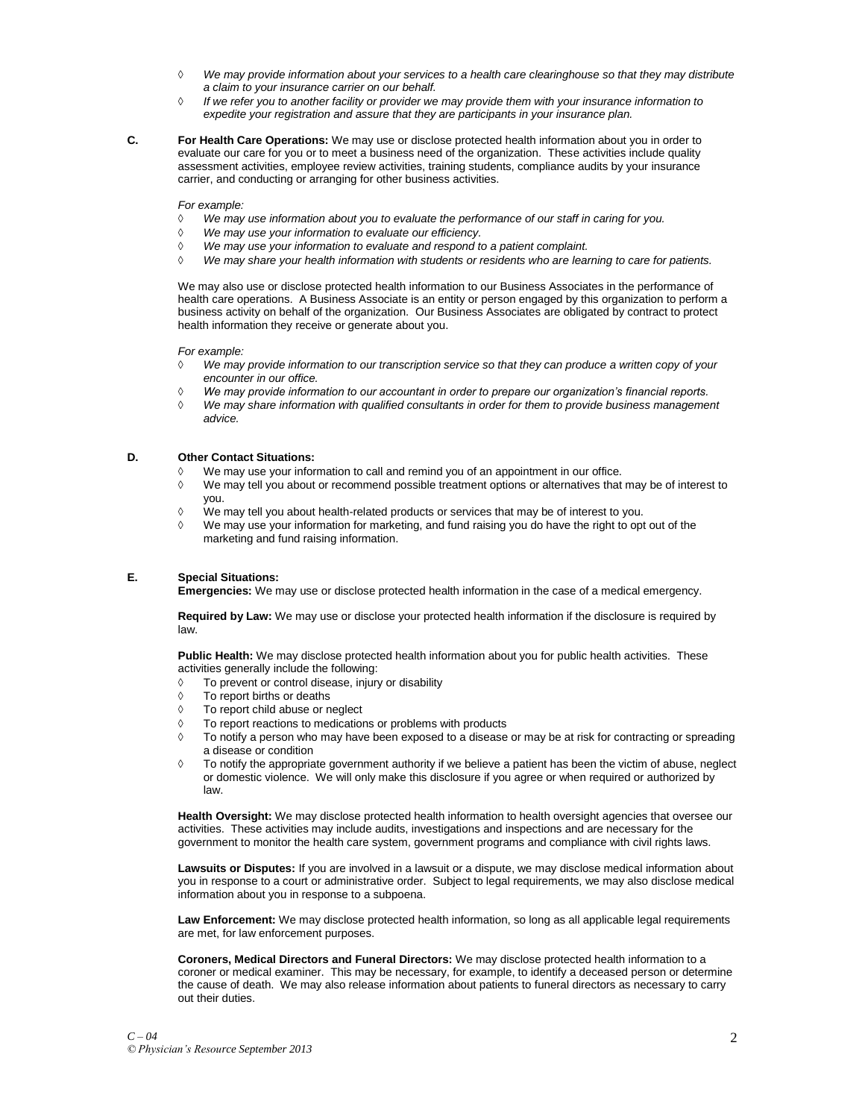- *We may provide information about your services to a health care clearinghouse so that they may distribute a claim to your insurance carrier on our behalf.*
- *If we refer you to another facility or provider we may provide them with your insurance information to expedite your registration and assure that they are participants in your insurance plan.*
- **C. For Health Care Operations:** We may use or disclose protected health information about you in order to evaluate our care for you or to meet a business need of the organization. These activities include quality assessment activities, employee review activities, training students, compliance audits by your insurance carrier, and conducting or arranging for other business activities.

# *For example:*

- *We may use information about you to evaluate the performance of our staff in caring for you.*
- *We may use your information to evaluate our efficiency.*
- *We may use your information to evaluate and respond to a patient complaint.*
- *We may share your health information with students or residents who are learning to care for patients.*

We may also use or disclose protected health information to our Business Associates in the performance of health care operations. A Business Associate is an entity or person engaged by this organization to perform a business activity on behalf of the organization. Our Business Associates are obligated by contract to protect health information they receive or generate about you.

### *For example:*

- *We may provide information to our transcription service so that they can produce a written copy of your encounter in our office.*
- *We may provide information to our accountant in order to prepare our organization's financial reports.*
- *We may share information with qualified consultants in order for them to provide business management advice.*

# **D. Other Contact Situations:**

- We may use your information to call and remind you of an appointment in our office.
- $\Diamond$  We may tell you about or recommend possible treatment options or alternatives that may be of interest to you.
- $\Diamond$  We may tell you about health-related products or services that may be of interest to you.
- $\Diamond$  We may use your information for marketing, and fund raising you do have the right to opt out of the marketing and fund raising information.

# **E. Special Situations:**

**Emergencies:** We may use or disclose protected health information in the case of a medical emergency.

**Required by Law:** We may use or disclose your protected health information if the disclosure is required by law.

**Public Health:** We may disclose protected health information about you for public health activities. These activities generally include the following:

- $\Diamond$  To prevent or control disease, injury or disability
- $\Diamond$  To report births or deaths
- $\Diamond$  To report child abuse or neglect
- $\Diamond$  To report reactions to medications or problems with products
- To notify a person who may have been exposed to a disease or may be at risk for contracting or spreading a disease or condition
- $\Diamond$  To notify the appropriate government authority if we believe a patient has been the victim of abuse, neglect or domestic violence. We will only make this disclosure if you agree or when required or authorized by law.

**Health Oversight:** We may disclose protected health information to health oversight agencies that oversee our activities. These activities may include audits, investigations and inspections and are necessary for the government to monitor the health care system, government programs and compliance with civil rights laws.

**Lawsuits or Disputes:** If you are involved in a lawsuit or a dispute, we may disclose medical information about you in response to a court or administrative order. Subject to legal requirements, we may also disclose medical information about you in response to a subpoena.

**Law Enforcement:** We may disclose protected health information, so long as all applicable legal requirements are met, for law enforcement purposes.

**Coroners, Medical Directors and Funeral Directors:** We may disclose protected health information to a coroner or medical examiner. This may be necessary, for example, to identify a deceased person or determine the cause of death. We may also release information about patients to funeral directors as necessary to carry out their duties.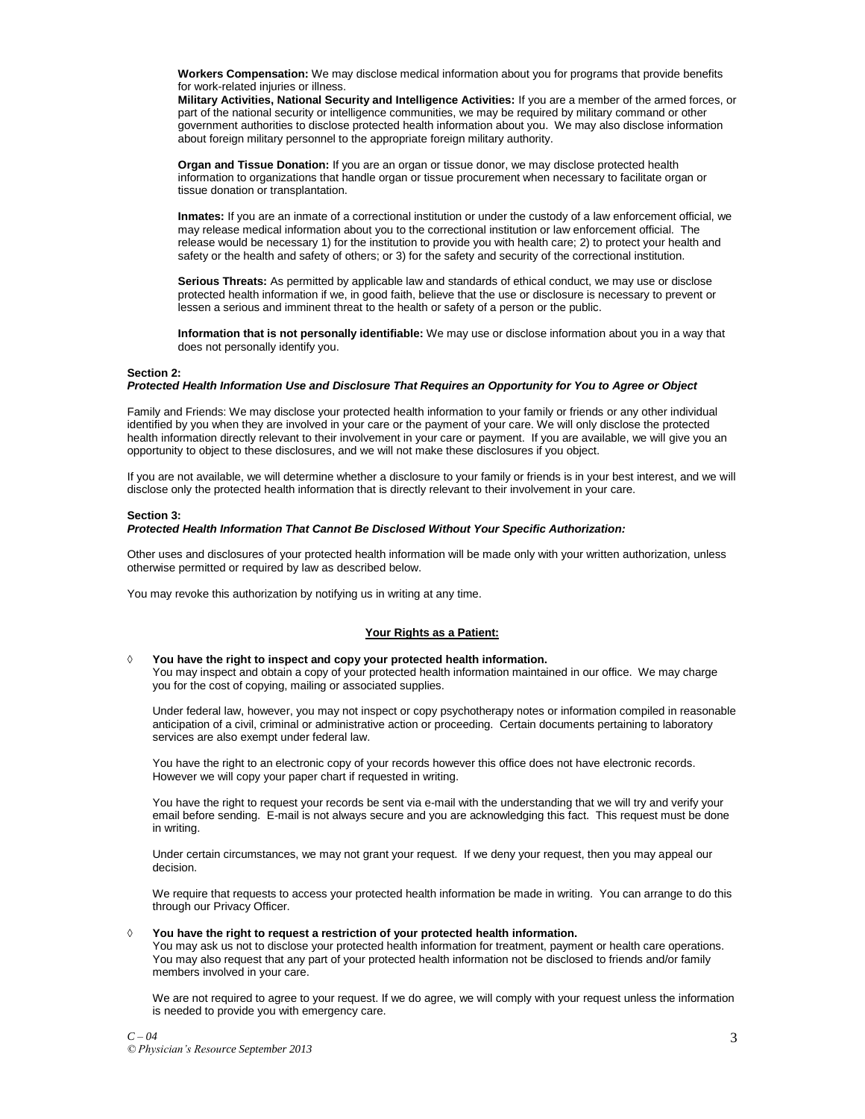**Workers Compensation:** We may disclose medical information about you for programs that provide benefits for work-related injuries or illness.

**Military Activities, National Security and Intelligence Activities:** If you are a member of the armed forces, or part of the national security or intelligence communities, we may be required by military command or other government authorities to disclose protected health information about you. We may also disclose information about foreign military personnel to the appropriate foreign military authority.

**Organ and Tissue Donation:** If you are an organ or tissue donor, we may disclose protected health information to organizations that handle organ or tissue procurement when necessary to facilitate organ or tissue donation or transplantation.

**Inmates:** If you are an inmate of a correctional institution or under the custody of a law enforcement official, we may release medical information about you to the correctional institution or law enforcement official. The release would be necessary 1) for the institution to provide you with health care; 2) to protect your health and safety or the health and safety of others; or 3) for the safety and security of the correctional institution.

**Serious Threats:** As permitted by applicable law and standards of ethical conduct, we may use or disclose protected health information if we, in good faith, believe that the use or disclosure is necessary to prevent or lessen a serious and imminent threat to the health or safety of a person or the public.

**Information that is not personally identifiable:** We may use or disclose information about you in a way that does not personally identify you.

#### **Section 2:**

# *Protected Health Information Use and Disclosure That Requires an Opportunity for You to Agree or Object*

Family and Friends: We may disclose your protected health information to your family or friends or any other individual identified by you when they are involved in your care or the payment of your care. We will only disclose the protected health information directly relevant to their involvement in your care or payment. If you are available, we will give you an opportunity to object to these disclosures, and we will not make these disclosures if you object.

If you are not available, we will determine whether a disclosure to your family or friends is in your best interest, and we will disclose only the protected health information that is directly relevant to their involvement in your care.

### **Section 3:**

### *Protected Health Information That Cannot Be Disclosed Without Your Specific Authorization:*

Other uses and disclosures of your protected health information will be made only with your written authorization, unless otherwise permitted or required by law as described below.

You may revoke this authorization by notifying us in writing at any time.

### **Your Rights as a Patient:**

### **You have the right to inspect and copy your protected health information.**

You may inspect and obtain a copy of your protected health information maintained in our office. We may charge you for the cost of copying, mailing or associated supplies.

Under federal law, however, you may not inspect or copy psychotherapy notes or information compiled in reasonable anticipation of a civil, criminal or administrative action or proceeding. Certain documents pertaining to laboratory services are also exempt under federal law.

You have the right to an electronic copy of your records however this office does not have electronic records. However we will copy your paper chart if requested in writing.

You have the right to request your records be sent via e-mail with the understanding that we will try and verify your email before sending. E-mail is not always secure and you are acknowledging this fact. This request must be done in writing.

Under certain circumstances, we may not grant your request. If we deny your request, then you may appeal our decision.

We require that requests to access your protected health information be made in writing. You can arrange to do this through our Privacy Officer.

### **You have the right to request a restriction of your protected health information.**

You may ask us not to disclose your protected health information for treatment, payment or health care operations. You may also request that any part of your protected health information not be disclosed to friends and/or family members involved in your care.

We are not required to agree to your request. If we do agree, we will comply with your request unless the information is needed to provide you with emergency care.